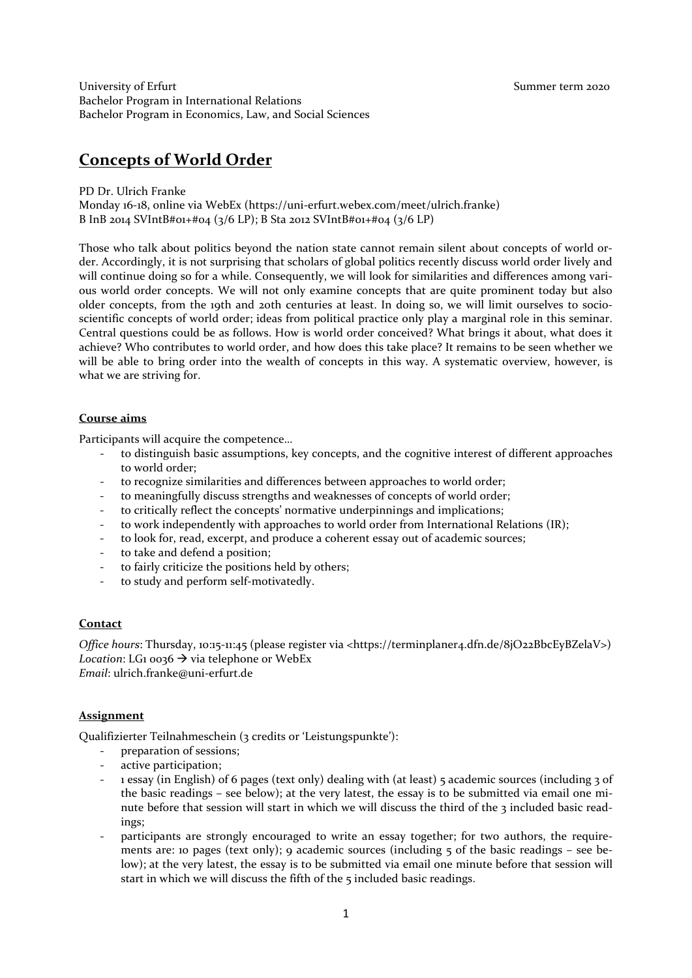University of Erfurt Theorem 2020 Summer term 2020 Bachelor Program in International Relations Bachelor Program in Economics, Law, and Social Sciences

# **Concepts of World Order**

PD Dr. Ulrich Franke

Monday 16-18, online via WebEx (https://uni-erfurt.webex.com/meet/ulrich.franke) B InB 2014 SVIntB#01+#04 (3/6 LP); B Sta 2012 SVIntB#01+#04 (3/6 LP)

Those who talk about politics beyond the nation state cannot remain silent about concepts of world order. Accordingly, it is not surprising that scholars of global politics recently discuss world order lively and will continue doing so for a while. Consequently, we will look for similarities and differences among various world order concepts. We will not only examine concepts that are quite prominent today but also older concepts, from the 19th and 20th centuries at least. In doing so, we will limit ourselves to socioscientific concepts of world order; ideas from political practice only play a marginal role in this seminar. Central questions could be as follows. How is world order conceived? What brings it about, what does it achieve? Who contributes to world order, and how does this take place? It remains to be seen whether we will be able to bring order into the wealth of concepts in this way. A systematic overview, however, is what we are striving for.

# **Course aims**

Participants will acquire the competence…

- to distinguish basic assumptions, key concepts, and the cognitive interest of different approaches to world order;
- to recognize similarities and differences between approaches to world order;
- to meaningfully discuss strengths and weaknesses of concepts of world order;
- to critically reflect the concepts' normative underpinnings and implications;
- to work independently with approaches to world order from International Relations (IR);
- to look for, read, excerpt, and produce a coherent essay out of academic sources;
- to take and defend a position;
- to fairly criticize the positions held by others;
- to study and perform self-motivatedly.

# **Contact**

*Office hours*: Thursday, 10:15-11:45 (please register via <https://terminplaner4.dfn.de/8jO22BbcEyBZelaV>) *Location*: LG<sub>1</sub> 0036  $\rightarrow$  via telephone or WebEx *Email*: ulrich.franke@uni-erfurt.de

# **Assignment**

Qualifizierter Teilnahmeschein (3 credits or 'Leistungspunkte'):

- preparation of sessions;
- active participation;
- 1 essay (in English) of 6 pages (text only) dealing with (at least) 5 academic sources (including 3 of the basic readings – see below); at the very latest, the essay is to be submitted via email one minute before that session will start in which we will discuss the third of the 3 included basic readings;
- participants are strongly encouraged to write an essay together; for two authors, the requirements are: 10 pages (text only); 9 academic sources (including 5 of the basic readings – see below); at the very latest, the essay is to be submitted via email one minute before that session will start in which we will discuss the fifth of the 5 included basic readings.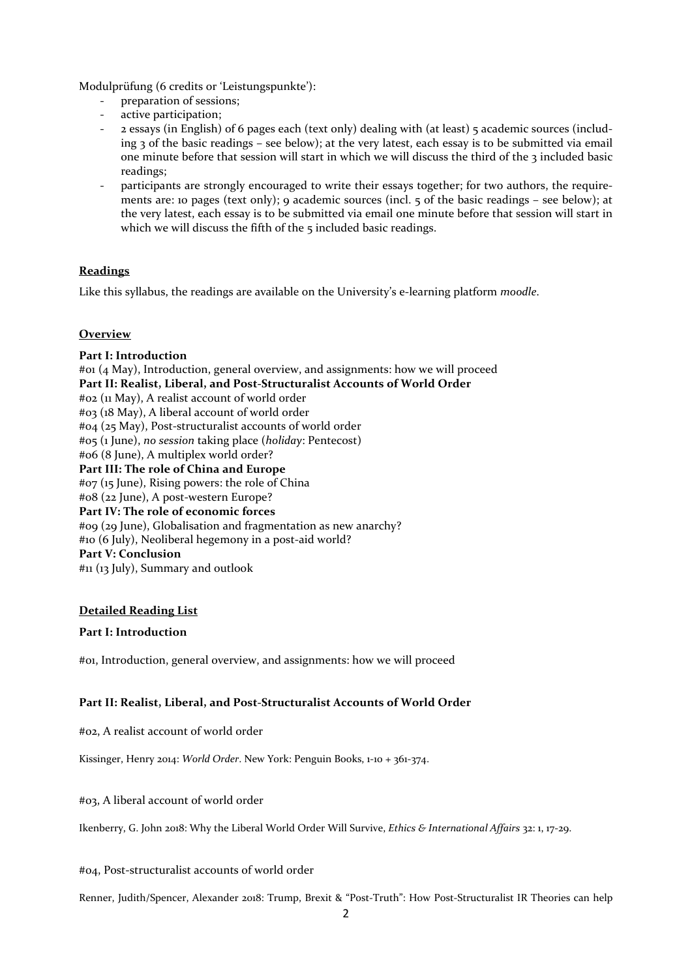Modulprüfung (6 credits or 'Leistungspunkte'):

- preparation of sessions;
- active participation;
- 2 essays (in English) of 6 pages each (text only) dealing with (at least) 5 academic sources (including 3 of the basic readings – see below); at the very latest, each essay is to be submitted via email one minute before that session will start in which we will discuss the third of the 3 included basic readings;
- participants are strongly encouraged to write their essays together; for two authors, the requirements are: 10 pages (text only); 9 academic sources (incl. 5 of the basic readings – see below); at the very latest, each essay is to be submitted via email one minute before that session will start in which we will discuss the fifth of the 5 included basic readings.

# **Readings**

Like this syllabus, the readings are available on the University's e-learning platform *moodle*.

# **Overview**

**Part I: Introduction** #01 (4 May), Introduction, general overview, and assignments: how we will proceed **Part II: Realist, Liberal, and Post-Structuralist Accounts of World Order**  #02 (11 May), A realist account of world order #03 (18 May), A liberal account of world order #04 (25 May), Post-structuralist accounts of world order #05 (1 June), *no session* taking place (*holiday*: Pentecost) #06 (8 June), A multiplex world order? **Part III: The role of China and Europe** #07 (15 June), Rising powers: the role of China #08 (22 June), A post-western Europe? **Part IV: The role of economic forces** #09 (29 June), Globalisation and fragmentation as new anarchy? #10 (6 July), Neoliberal hegemony in a post-aid world? **Part V: Conclusion**

#11 (13 July), Summary and outlook

## **Detailed Reading List**

## **Part I: Introduction**

#01, Introduction, general overview, and assignments: how we will proceed

# **Part II: Realist, Liberal, and Post-Structuralist Accounts of World Order**

#02, A realist account of world order

Kissinger, Henry 2014: *World Order*. New York: Penguin Books, 1-10 + 361-374.

## #03, A liberal account of world order

Ikenberry, G. John 2018: Why the Liberal World Order Will Survive, *Ethics & International Affairs* 32: 1, 17-29.

#04, Post-structuralist accounts of world order

Renner, Judith/Spencer, Alexander 2018: Trump, Brexit & "Post-Truth": How Post-Structuralist IR Theories can help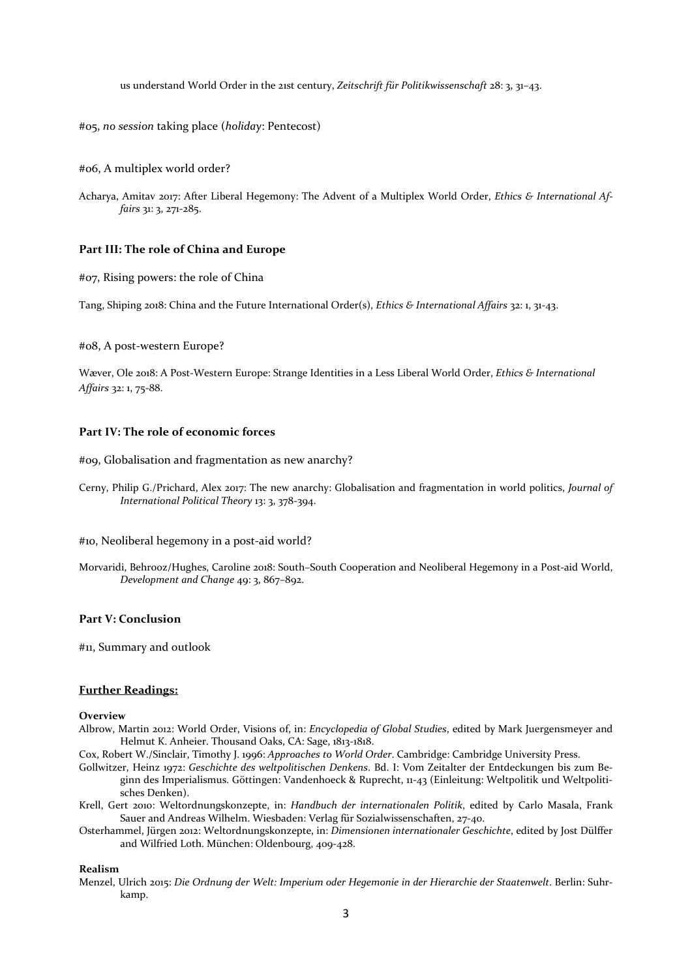us understand World Order in the 21st century, *Zeitschrift für Politikwissenschaft* 28: 3, 31–43.

#05, *no session* taking place (*holiday*: Pentecost)

#06, A multiplex world order?

Acharya, Amitav 2017: After Liberal Hegemony: The Advent of a Multiplex World Order, *Ethics & International Affairs* 31: 3, 271-285.

## **Part III: The role of China and Europe**

#07, Rising powers: the role of China

Tang, Shiping 2018: China and the Future International Order(s), *Ethics & International Affairs* 32: 1, 31-43.

#08, A post-western Europe?

Wæver, Ole 2018: A Post-Western Europe: Strange Identities in a Less Liberal World Order, *Ethics & International Affairs* 32: 1, 75-88.

## **Part IV: The role of economic forces**

#09, Globalisation and fragmentation as new anarchy?

Cerny, Philip G./Prichard, Alex 2017: The new anarchy: Globalisation and fragmentation in world politics, *Journal of International Political Theory* 13: 3, 378-394.

#10, Neoliberal hegemony in a post-aid world?

Morvaridi, Behrooz/Hughes, Caroline 2018: South–South Cooperation and Neoliberal Hegemony in a Post-aid World, *Development and Change* 49: 3, 867–892.

#### **Part V: Conclusion**

#11, Summary and outlook

#### **Further Readings:**

## **Overview**

- Albrow, Martin 2012: World Order, Visions of, in: *Encyclopedia of Global Studies*, edited by Mark Juergensmeyer and Helmut K. Anheier. Thousand Oaks, CA: Sage, 1813-1818.
- Cox, Robert W./Sinclair, Timothy J. 1996: *Approaches to World Order*. Cambridge: Cambridge University Press.
- Gollwitzer, Heinz 1972: *Geschichte des weltpolitischen Denkens*. Bd. I: Vom Zeitalter der Entdeckungen bis zum Beginn des Imperialismus. Göttingen: Vandenhoeck & Ruprecht, 11-43 (Einleitung: Weltpolitik und Weltpolitisches Denken).
- Krell, Gert 2010: Weltordnungskonzepte, in: *Handbuch der internationalen Politik*, edited by Carlo Masala, Frank Sauer and Andreas Wilhelm. Wiesbaden: Verlag für Sozialwissenschaften, 27-40.
- Osterhammel, Jürgen 2012: Weltordnungskonzepte, in: *Dimensionen internationaler Geschichte*, edited by Jost Dülffer and Wilfried Loth. München: Oldenbourg, 409-428.

#### **Realism**

Menzel, Ulrich 2015: *Die Ordnung der Welt: Imperium oder Hegemonie in der Hierarchie der Staatenwelt*. Berlin: Suhrkamp.